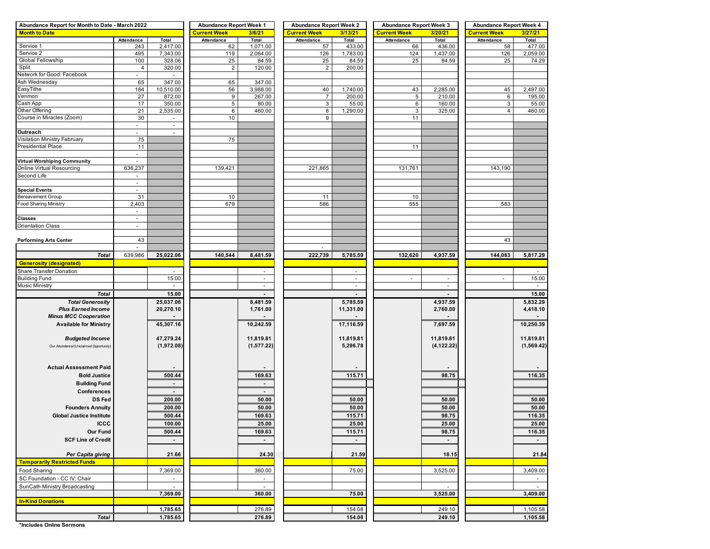| Abundance Report for Month to Date - March 2022 | <b>Abundance Report Week 1</b> |                          | <b>Abundance Report Week 2</b> |                          | <b>Abundance Report Week 3</b> |                 | <b>Abundance Report Week 4</b> |                |                     |             |
|-------------------------------------------------|--------------------------------|--------------------------|--------------------------------|--------------------------|--------------------------------|-----------------|--------------------------------|----------------|---------------------|-------------|
| <b>Month to Date</b>                            |                                |                          | <b>Current Week</b>            | 3/6/21                   | <b>Current Week</b>            | 3/13/21         | <b>Current Week</b>            | 3/20/21        | <b>Current Week</b> | 3/27/21     |
|                                                 | Attendance                     | Total                    | Attendance                     | Total                    | Attendance                     | Total           | Attendance                     | Total          | Attendance          | Total       |
| Service 1                                       | 243                            | 2,417.00                 | 62                             | 1,071.00                 | 57                             | 433.00          | 66                             | 436.00         | 58                  | 477.00      |
| Service 2                                       | 495                            | 7,343.00                 | 119                            | 2,064.00                 | 126                            | 1,783.00        | 124                            | 1,437.00       | 126                 | 2,059.00    |
| Global Fellowship<br>Split                      | 100                            | 328.06                   | 25                             | 84.59                    | 25<br>$\overline{2}$           | 84.59<br>200.00 | 25                             | 84.59          | 25                  | 74.29       |
| Network for Good: Facebook                      | 4<br>ä,                        | 320.00                   | $\overline{2}$                 | 120.00                   |                                |                 |                                |                |                     |             |
| Ash Wednesday                                   | 65                             | 347.00                   | 65                             | 347.00                   |                                |                 |                                |                |                     |             |
| EasyTithe                                       | 184                            | 10,510.00                | 56                             | 3,988.00                 | 40                             | 1,740.00        | 43                             | 2,285.00       | 45                  | 2,497.00    |
| Venmon                                          | 27                             | 872.00                   | 9                              | 267.00                   | $\overline{7}$                 | 200.00          | 5                              | 210.00         | 6                   | 195.00      |
| Cash App                                        | 17                             | 350.00                   | 5                              | 80.00                    | $\mathsf 3$                    | 55.00           | $\,6\,$                        | 160.00         | 3                   | 55.00       |
| Other Offering                                  | 21                             | 2,535.00                 | 6                              | 460.00                   | 8                              | 1,290.00        | $\ensuremath{\mathsf{3}}$      | 325.00         | $\overline{4}$      | 460.00      |
| Course in Miracles (Zoom)                       | 30                             |                          | 10                             |                          | 9                              |                 | 11                             |                |                     |             |
|                                                 | $\blacksquare$                 | $\sim$                   |                                |                          |                                |                 |                                |                |                     |             |
| Outreach                                        | ä,                             | ÷.                       |                                |                          |                                |                 |                                |                |                     |             |
| Visitation Ministry February                    | 75                             |                          | 75                             |                          |                                |                 |                                |                |                     |             |
| Presidential Place                              | 11                             |                          |                                |                          |                                |                 | 11                             |                |                     |             |
|                                                 | $\overline{\phantom{a}}$       |                          |                                |                          |                                |                 |                                |                |                     |             |
| <b>Virtual Worshiping Community</b>             | $\omega$                       |                          |                                |                          |                                |                 |                                |                |                     |             |
| Online Virtual Resourcing                       | 636,237                        |                          | 139,421                        |                          | 221,865                        |                 | 131,761                        |                | 143,190             |             |
| Second Life                                     | $\overline{\phantom{a}}$       |                          |                                |                          |                                |                 |                                |                |                     |             |
|                                                 | $\omega$                       |                          |                                |                          |                                |                 |                                |                |                     |             |
| <b>Special Events</b>                           | $\overline{\phantom{a}}$<br>31 |                          | 10                             |                          | 11                             |                 | 10                             |                |                     |             |
| Bereavement Group<br>Food Sharing Ministry      | 2,403                          |                          | 679                            |                          | 586                            |                 | 555                            |                | 583                 |             |
|                                                 | $\overline{\phantom{a}}$       |                          |                                |                          |                                |                 |                                |                |                     |             |
| <b>Classes</b>                                  | $\overline{\phantom{a}}$       |                          |                                |                          |                                |                 |                                |                |                     |             |
| <b>Orientation Class</b>                        | $\sim$                         |                          |                                |                          |                                |                 |                                |                |                     |             |
|                                                 |                                |                          |                                |                          |                                |                 |                                |                |                     |             |
| <b>Performing Arts Center</b>                   | 43                             |                          |                                |                          |                                |                 |                                |                | 43                  |             |
|                                                 | $\mathbf{r}$                   |                          |                                |                          |                                |                 |                                |                |                     |             |
| <b>Total</b>                                    | 639,986                        | 25,022.06                | 140,544                        | 8,481.59                 | 222,739                        | 5,785.59        | 132,620                        | 4,937.59       | 144,083             | 5,817.29    |
| <b>Generosity (designated)</b>                  |                                |                          |                                |                          |                                |                 |                                |                |                     |             |
| Share Transfer Donation                         |                                | $\sim$                   |                                | $\sim$                   |                                | $\sim$          |                                |                |                     |             |
| <b>Building Fund</b>                            |                                | 15.00                    |                                | $\sim$                   |                                | $\blacksquare$  | $\overline{\phantom{a}}$       | $\blacksquare$ | ÷,                  | 15.00       |
| <b>Music Ministry</b>                           |                                | $\blacksquare$           |                                | $\sim$                   |                                | $\blacksquare$  |                                | $\blacksquare$ |                     | $\sim$      |
| <b>Total</b>                                    |                                | 15.00                    |                                |                          |                                |                 |                                | $\blacksquare$ |                     | 15.00       |
| <b>Total Generosity</b>                         |                                | 25,037.06                |                                | 8,481.59                 |                                | 5,785.59        |                                | 4,937.59       |                     | 5,832.29    |
| <b>Plus Earned Income</b>                       |                                | 20,270.10                |                                | 1,761.00                 |                                | 11,331.00       |                                | 2,760.00       |                     | 4,418.10    |
| <b>Minus MCC Cooperation</b>                    |                                |                          |                                |                          |                                |                 |                                |                |                     |             |
| <b>Available for Ministry</b>                   |                                | 45,307.16                |                                | 10,242.59                |                                | 17,116.59       |                                | 7,697.59       |                     | 10,250.39   |
|                                                 |                                |                          |                                |                          |                                |                 |                                |                |                     |             |
| <b>Budgeted Income</b>                          |                                | 47,279.24                |                                | 11,819.81                |                                | 11,819.81       |                                | 11,819.81      |                     | 11,819.81   |
| Our Abundance/(Unclaimed Opportunity)           |                                | (1,972.08)               |                                | (1,577.22)               |                                | 5,296.78        |                                | (4, 122.22)    |                     | (1, 569.42) |
|                                                 |                                |                          |                                |                          |                                |                 |                                |                |                     |             |
|                                                 |                                |                          |                                |                          |                                |                 |                                |                |                     |             |
| <b>Actual Assessment Paid</b>                   |                                |                          |                                |                          |                                |                 |                                |                |                     |             |
| <b>Bold Justice</b>                             |                                | 500.44                   |                                | 169.63                   |                                | 115.71          |                                | 98.75          |                     | 116.35      |
| <b>Building Fund</b>                            |                                | $\overline{\phantom{a}}$ |                                | $\overline{\phantom{a}}$ |                                |                 |                                |                |                     |             |
| <b>Conferences</b>                              |                                | $\blacksquare$           |                                | $\blacksquare$           |                                |                 |                                |                |                     |             |
| <b>DS Fed</b>                                   |                                | 200.00                   |                                | 50.00                    |                                | 50.00           |                                | 50.00          |                     | 50.00       |
| <b>Founders Annuity</b>                         |                                | 200.00                   |                                | 50.00                    |                                | 50.00           |                                | 50.00          |                     | 50.00       |
| <b>Global Justice Institute</b>                 |                                | 500.44                   |                                | 169.63                   |                                | 115.71          |                                | 98.75          |                     | 116.35      |
| <b>ICCC</b>                                     |                                | 100.00                   |                                | 25.00                    |                                | 25.00           |                                | 25.00          |                     | 25.00       |
| Our Fund                                        |                                | 500.44                   |                                | 169.63                   |                                | 115.71          |                                | 98.75          |                     | 116.35      |
| <b>SCF Line of Credit</b>                       |                                |                          |                                |                          |                                | $\blacksquare$  |                                |                |                     | $\sim$      |
|                                                 |                                |                          |                                |                          |                                |                 |                                |                |                     |             |
| Per Capita giving                               |                                | 21.66                    |                                | 24.30                    |                                | 21.59           |                                | 18.15          |                     | 21.84       |
| <b>Temporarily Restricted Funds</b>             |                                |                          |                                |                          |                                |                 |                                |                |                     |             |
| Food Sharing                                    |                                | 7,369.00                 |                                | 360.00                   |                                | 75.00           |                                | 3,525.00       |                     | 3,409.00    |
| SC Foundation - CC IV: Chair                    |                                | $\sim$                   |                                | $\sim$                   |                                |                 |                                |                |                     | $\sim$      |
| SunCath Ministry Broadcasting                   |                                | $\sim$                   |                                | $\omega$                 |                                |                 |                                |                |                     |             |
|                                                 |                                | 7,369.00                 |                                | 360.00                   |                                | 75.00           |                                | 3,525.00       |                     | 3,409.00    |
| <b>In-Kind Donations</b>                        |                                |                          |                                |                          |                                |                 |                                |                |                     |             |
|                                                 |                                |                          |                                |                          |                                |                 |                                |                |                     |             |
|                                                 |                                | 1,785.65                 |                                | 276.89                   |                                | 154.08          |                                | 249.10         |                     | 1,105.58    |
| <b>Total</b>                                    |                                | 1,785.65                 |                                | 276.89                   |                                | 154.08          |                                | 249.10         |                     | 1,105.58    |

**\*Includes Online Sermons**